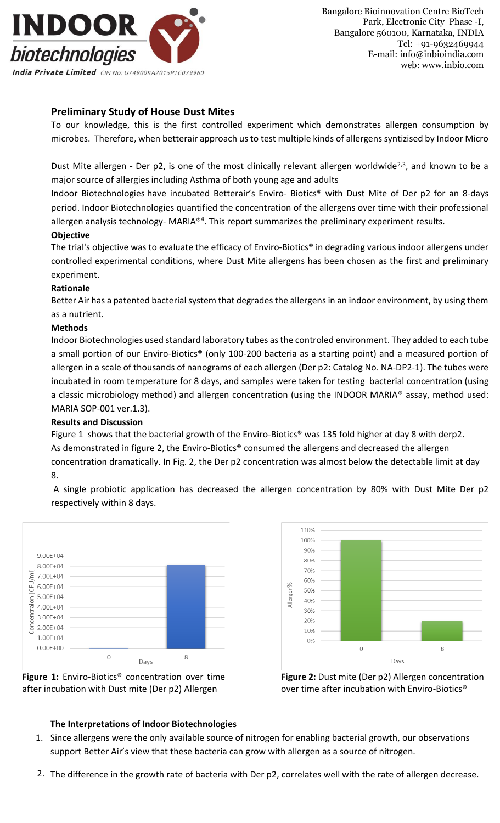

# **Preliminary Study of House Dust Mites**

To our knowledge, this is the first controlled experiment which demonstrates allergen consumption by microbes. Therefore, when betterair approach us to test multiple kinds of allergens syntizised by Indoor Micro

Dust Mite allergen - Der p2, is one of the most clinically relevant allergen worldwide<sup>2,3</sup>, and known to be a major source of allergies including Asthma of both young age and adults

Indoor Biotechnologies have incubated Betterair's Enviro- Biotics® with Dust Mite of Der p2 for an 8-days period. Indoor Biotechnologies quantified the concentration of the allergens over time with their professional allergen analysis technology- MARIA®<sup>4</sup>. This report summarizes the preliminary experiment results.

### **Objective**

The trial's objective was to evaluate the efficacy of Enviro-Biotics® in degrading various indoor allergens under controlled experimental conditions, where Dust Mite allergens has been chosen as the first and preliminary experiment.

### **Rationale**

Better Air has a patented bacterial system that degrades the allergens in an indoor environment, by using them as a nutrient.

### **Methods**

Indoor Biotechnologies used standard laboratory tubes as the controled environment. They added to each tube a small portion of our Enviro-Biotics® (only 100-200 bacteria as a starting point) and a measured portion of allergen in a scale of thousands of nanograms of each allergen (Der p2: Catalog No. NA-DP2-1). The tubes were incubated in room temperature for 8 days, and samples were taken for testing bacterial concentration (using a classic microbiology method) and allergen concentration (using the INDOOR MARIA® assay, method used: MARIA SOP-001 ver.1.3).

## **Results and Discussion**

Figure 1 shows that the bacterial growth of the Enviro-Biotics<sup>®</sup> was 135 fold higher at day 8 with derp2. As demonstrated in figure 2, the Enviro-Biotics® consumed the allergens and decreased the allergen concentration dramatically. In Fig. 2, the Der p2 concentration was almost below the detectable limit at day 8.









### **Figure 2:** Dust mite (Der p2) Allergen concentration over time after incubation with Enviro-Biotics®

## **The Interpretations of Indoor Biotechnologies**

- 1. Since allergens were the only available source of nitrogen for enabling bacterial growth, our observations support Better Air's view that these bacteria can grow with allergen as a source of nitrogen.
- 2. The difference in the growth rate of bacteria with Der p2, correlates well with the rate of allergen decrease.